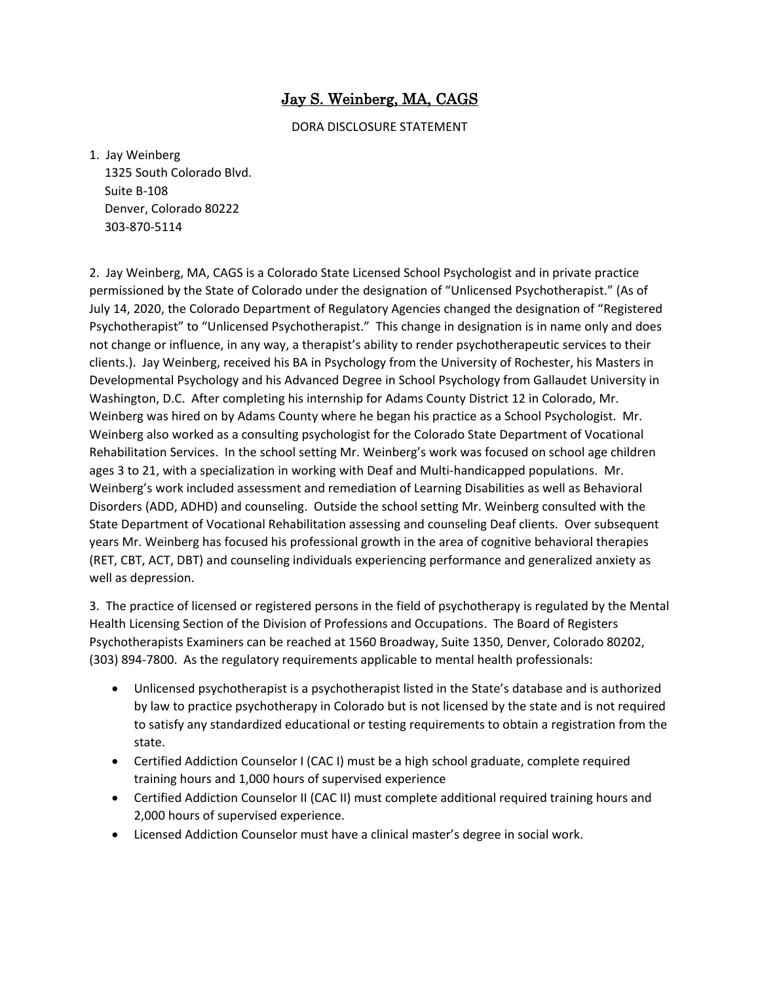## Jay S. Weinberg, MA, CAGS

DORA DISCLOSURE STATEMENT

1. Jay Weinberg

 1325 South Colorado Blvd. Suite B-108 Denver, Colorado 80222 303-870-5114

2. Jay Weinberg, MA, CAGS is a Colorado State Licensed School Psychologist and in private practice permissioned by the State of Colorado under the designation of "Unlicensed Psychotherapist." (As of July 14, 2020, the Colorado Department of Regulatory Agencies changed the designation of "Registered Psychotherapist" to "Unlicensed Psychotherapist." This change in designation is in name only and does not change or influence, in any way, a therapist's ability to render psychotherapeutic services to their clients.). Jay Weinberg, received his BA in Psychology from the University of Rochester, his Masters in Developmental Psychology and his Advanced Degree in School Psychology from Gallaudet University in Washington, D.C. After completing his internship for Adams County District 12 in Colorado, Mr. Weinberg was hired on by Adams County where he began his practice as a School Psychologist. Mr. Weinberg also worked as a consulting psychologist for the Colorado State Department of Vocational Rehabilitation Services. In the school setting Mr. Weinberg's work was focused on school age children ages 3 to 21, with a specialization in working with Deaf and Multi-handicapped populations. Mr. Weinberg's work included assessment and remediation of Learning Disabilities as well as Behavioral Disorders (ADD, ADHD) and counseling. Outside the school setting Mr. Weinberg consulted with the State Department of Vocational Rehabilitation assessing and counseling Deaf clients. Over subsequent years Mr. Weinberg has focused his professional growth in the area of cognitive behavioral therapies (RET, CBT, ACT, DBT) and counseling individuals experiencing performance and generalized anxiety as well as depression.

3. The practice of licensed or registered persons in the field of psychotherapy is regulated by the Mental Health Licensing Section of the Division of Professions and Occupations. The Board of Registers Psychotherapists Examiners can be reached at 1560 Broadway, Suite 1350, Denver, Colorado 80202, (303) 894-7800. As the regulatory requirements applicable to mental health professionals:

- Unlicensed psychotherapist is a psychotherapist listed in the State's database and is authorized by law to practice psychotherapy in Colorado but is not licensed by the state and is not required to satisfy any standardized educational or testing requirements to obtain a registration from the state.
- Certified Addiction Counselor I (CAC I) must be a high school graduate, complete required training hours and 1,000 hours of supervised experience
- Certified Addiction Counselor II (CAC II) must complete additional required training hours and 2,000 hours of supervised experience.
- Licensed Addiction Counselor must have a clinical master's degree in social work.